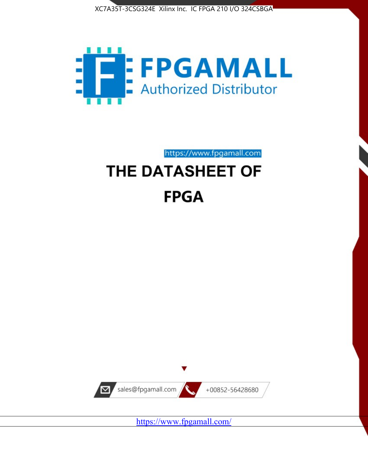



https://www.fpgamall.com THE DATASHEET OF

# **FPGA**



<https://www.fpgamall.com/>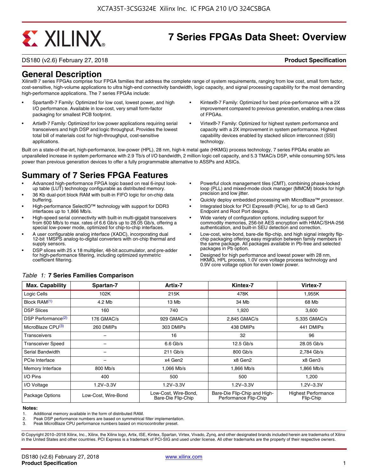# **EXALINX**

# **7 Series FPGAs Data Sheet: Overview**

DS180 (v2.6) February 27, 2018 **Product Specification**

# **General Description**

Xilinx® 7 series FPGAs comprise four FPGA families that address the complete range of system requirements, ranging from low cost, small form factor, cost-sensitive, high-volume applications to ultra high-end connectivity bandwidth, logic capacity, and signal processing capability for the most demanding high-performance applications. The 7 series FPGAs include:

- Spartan®-7 Family: Optimized for low cost, lowest power, and high I/O performance. Available in low-cost, very small form-factor packaging for smallest PCB footprint.
- Artix®-7 Family: Optimized for low power applications requiring serial transceivers and high DSP and logic throughput. Provides the lowest total bill of materials cost for high-throughput, cost-sensitive applications.
- Kintex®-7 Family: Optimized for best price-performance with a 2X improvement compared to previous generation, enabling a new class of FPGAs.
- Virtex®-7 Family: Optimized for highest system performance and capacity with a 2X improvement in system performance. Highest capability devices enabled by stacked silicon interconnect (SSI) technology

Built on a state-of-the-art, high-performance, low-power (HPL), 28 nm, high-k metal gate (HKMG) process technology, 7 series FPGAs enable an unparalleled increase in system performance with 2.9 Tb/s of I/O bandwidth, 2 million logic cell capacity, and 5.3 TMAC/s DSP, while consuming 50% less power than previous generation devices to offer a fully programmable alternative to ASSPs and ASICs.

# **Summary of 7 Series FPGA Features**

- Advanced high-performance FPGA logic based on real 6-input lookup table (LUT) technology configurable as distributed memory.
- 36 Kb dual-port block RAM with built-in FIFO logic for on-chip data buffering.
- High-performance SelectIO™ technology with support for DDR3 interfaces up to 1,866 Mb/s.
- High-speed serial connectivity with built-in multi-gigabit transceivers from 600 Mb/s to max. rates of 6.6 Gb/s up to 28.05 Gb/s, offering a special low-power mode, optimized for chip-to-chip interfaces.
- A user configurable analog interface (XADC), incorporating dual 12-bit 1MSPS analog-to-digital converters with on-chip thermal and supply sensors.
- DSP slices with 25 x 18 multiplier, 48-bit accumulator, and pre-adder for high-performance filtering, including optimized symmetric coefficient filtering.
- Powerful clock management tiles (CMT), combining phase-locked loop (PLL) and mixed-mode clock manager (MMCM) blocks for high precision and low jitter.
- Quickly deploy embedded processing with MicroBlaze<sup>™</sup> processor.
- Integrated block for PCI Express® (PCIe), for up to x8 Gen3 Endpoint and Root Port designs.
- Wide variety of configuration options, including support for commodity memories, 256-bit AES encryption with HMAC/SHA-256 authentication, and built-in SEU detection and correction.
- Low-cost, wire-bond, bare-die flip-chip, and high signal integrity flipchip packaging offering easy migration between family members in the same package. All packages available in Pb-free and selected packages in Pb option.
- Designed for high performance and lowest power with 28 nm, HKMG, HPL process, 1.0V core voltage process technology and 0.9V core voltage option for even lower power.

| <b>Max. Capability</b>         | Spartan-7           | Artix-7                                    | Kintex-7                                              | Virtex-7                                |
|--------------------------------|---------------------|--------------------------------------------|-------------------------------------------------------|-----------------------------------------|
| Logic Cells                    | 102K                | 215K                                       | 478K                                                  | 1,955K                                  |
| Block RAM <sup>(1)</sup>       | 4.2 Mb              | 13 Mb                                      | 34 Mb                                                 | 68 Mb                                   |
| <b>DSP Slices</b>              | 160                 | 740                                        | 1,920                                                 | 3,600                                   |
| DSP Performance <sup>(2)</sup> | 176 GMAC/s          | 929 GMAC/s                                 | 2,845 GMAC/s                                          | 5,335 GMAC/s                            |
| MicroBlaze CPU <sup>(3)</sup>  | 260 DMIPs           | 303 DMIPs                                  | 438 DMIPs                                             | 441 DMIPs                               |
| Transceivers                   |                     | 16                                         | 32                                                    | 96                                      |
| <b>Transceiver Speed</b>       |                     | $6.6$ Gb/s                                 | $12.5$ Gb/s                                           | 28.05 Gb/s                              |
| Serial Bandwidth               |                     | $211$ Gb/s                                 | 800 Gb/s                                              | 2,784 Gb/s                              |
| PCIe Interface                 | -                   | x4 Gen2                                    | x8 Gen2                                               | x8 Gen3                                 |
| Memory Interface               | $800$ Mb/s          | 1.066 Mb/s                                 | 1.866 Mb/s                                            | 1.866 Mb/s                              |
| I/O Pins                       | 400                 | 500                                        | 500                                                   | 1,200                                   |
| I/O Voltage                    | $1.2V - 3.3V$       | $1.2V - 3.3V$                              | $1.2V - 3.3V$                                         | $1.2V - 3.3V$                           |
| Package Options                | Low-Cost, Wire-Bond | Low-Cost, Wire-Bond,<br>Bare-Die Flip-Chip | Bare-Die Flip-Chip and High-<br>Performance Flip-Chip | <b>Highest Performance</b><br>Flip-Chip |

#### *Table 1:* **7 Series Families Comparison**

#### **Notes:**

1. Additional memory available in the form of distributed RAM.

2. Peak DSP performance numbers are based on symmetrical filter implementation.<br>3. Peak MicroBlaze CPU performance numbers based on microcontroller preset.

Peak MicroBlaze CPU performance numbers based on microcontroller preset.

© Copyright 2010–2018 Xilinx, Inc., Xilinx, the Xilinx logo, Artix, ISE, Kintex, Spartan, Virtex, Vivado, Zynq, and other designated brands included herein are trademarks of Xilinx in the United States and other countries. PCI Express is a trademark of PCI-SIG and used under license. All other trademarks are the property of their respective owners.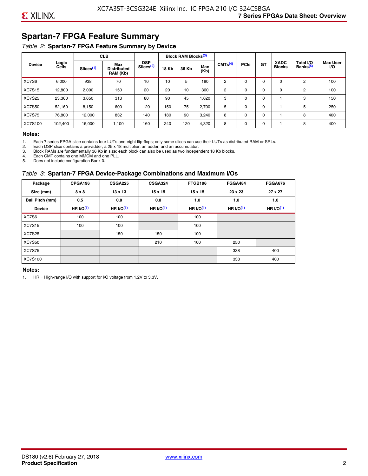# **Spartan-7 FPGA Feature Summary**

#### *Table 2:* **Spartan-7 FPGA Feature Summary by Device**

|               |                |                       | <b>CLB</b>                            |                                     |              | <b>Block RAM Blocks</b> <sup>(3)</sup> |             |                     |             |             |                              |                                   |                              |
|---------------|----------------|-----------------------|---------------------------------------|-------------------------------------|--------------|----------------------------------------|-------------|---------------------|-------------|-------------|------------------------------|-----------------------------------|------------------------------|
| <b>Device</b> | Logic<br>Cells | Slices <sup>(1)</sup> | Max<br><b>Distributed</b><br>RAM (Kb) | <b>DSP</b><br>Slices <sup>(2)</sup> | <b>18 Kb</b> | 36 Kb                                  | Max<br>(Kb) | CMTS <sup>(4)</sup> | <b>PCle</b> | GT          | <b>XADC</b><br><b>Blocks</b> | Total I/O<br>Banks <sup>(5)</sup> | <b>Max User</b><br><b>VO</b> |
| XC7S6         | 6,000          | 938                   | 70                                    | 10                                  | 10           | 5                                      | 180         | 2                   | $\Omega$    | $\Omega$    | $\Omega$                     | 2                                 | 100                          |
| <b>XC7S15</b> | 12,800         | 2,000                 | 150                                   | 20                                  | 20           | 10                                     | 360         | 2                   | 0           | $\mathbf 0$ | 0                            | 2                                 | 100                          |
| <b>XC7S25</b> | 23,360         | 3,650                 | 313                                   | 80                                  | 90           | 45                                     | 1,620       | 3                   | 0           | 0           |                              | 3                                 | 150                          |
| <b>XC7S50</b> | 52,160         | 8,150                 | 600                                   | 120                                 | 150          | 75                                     | 2,700       | 5                   | $\Omega$    | 0           |                              | 5                                 | 250                          |
| <b>XC7S75</b> | 76,800         | 12.000                | 832                                   | 140                                 | 180          | 90                                     | 3,240       | 8                   | 0           | 0           |                              | 8                                 | 400                          |
| XC7S100       | 102,400        | 16,000                | 1,100                                 | 160                                 | 240          | 120                                    | 4,320       | 8                   | 0           | $\mathbf 0$ |                              | 8                                 | 400                          |

#### **Notes:**

1. Each 7 series FPGA slice contains four LUTs and eight flip-flops; only some slices can use their LUTs as distributed RAM or SRLs.<br>2. Each DSP slice contains a pre-adder. a 25 x 18 multiplier. an adder. and an accumulato

2. Each DSP slice contains a pre-adder, a 25 x 18 multiplier, an adder, and an accumulator. 3. Block RAMs are fundamentally 36 Kb in size; each block can also be used as two independent 18 Kb blocks.

4. Each CMT contains one MMCM and one PLL.

5. Does not include configuration Bank 0.

#### *Table 3:* **Spartan-7 FPGA Device-Package Combinations and Maximum I/Os**

| Package         | CPGA196    | <b>CSGA225</b> | CSGA324    | FTGB196        | <b>FGGA484</b> | <b>FGGA676</b> |
|-----------------|------------|----------------|------------|----------------|----------------|----------------|
| Size (mm)       | 8 x 8      | $13 \times 13$ | 15 x 15    | $15 \times 15$ | 23 x 23        | 27 x 27        |
| Ball Pitch (mm) | 0.5        | 0.8            | 0.8        | 1.0            | 1.0            | 1.0            |
| <b>Device</b>   | HR $l$ (1) | HR $UO(1)$     | HR $UO(1)$ | HR $l$ (1)     | HR $I/O(1)$    | HR $UO(1)$     |
| XC7S6           | 100        | 100            |            | 100            |                |                |
| <b>XC7S15</b>   | 100        | 100            |            | 100            |                |                |
| <b>XC7S25</b>   |            | 150            | 150        | 100            |                |                |
| <b>XC7S50</b>   |            |                | 210        | 100            | 250            |                |
| <b>XC7S75</b>   |            |                |            |                | 338            | 400            |
| <b>XC7S100</b>  |            |                |            |                | 338            | 400            |

#### **Notes:**

1. HR = High-range I/O with support for I/O voltage from 1.2V to 3.3V.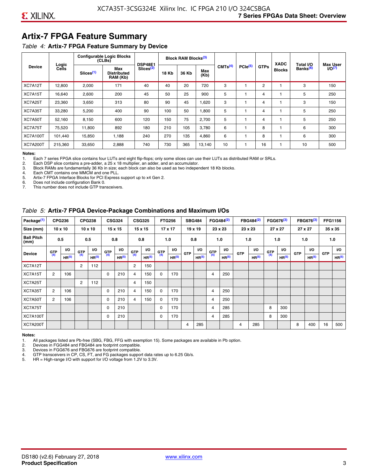# **Artix-7 FPGA Feature Summary**

#### *Table 4:* **Artix-7 FPGA Feature Summary by Device**

|                 | Logic   |                       | <b>Configurable Logic Blocks</b><br>(CLES) | <b>DSP48E1</b>        |              | <b>Block RAM Blocks</b> <sup>(3)</sup> |             |                     |              |             | <b>XADC</b>   | Total I/O            | <b>Max User</b> |
|-----------------|---------|-----------------------|--------------------------------------------|-----------------------|--------------|----------------------------------------|-------------|---------------------|--------------|-------------|---------------|----------------------|-----------------|
| <b>Device</b>   | Cells   | Slices <sup>(1)</sup> | Max<br><b>Distributed</b><br>RAM (Kb)      | Slices <sup>(2)</sup> | <b>18 Kb</b> | 36 Kb                                  | Max<br>(Kb) | CMTS <sup>(4)</sup> | $PCle^{(5)}$ | <b>GTPs</b> | <b>Blocks</b> | Banks <sup>(6)</sup> | $I/O(7)$        |
| XC7A12T         | 12,800  | 2,000                 | 171                                        | 40                    | 40           | 20                                     | 720         | 3                   |              | 2           |               | 3                    | 150             |
| XC7A15T         | 16,640  | 2,600                 | 200                                        | 45                    | 50           | 25                                     | 900         | 5                   |              | 4           |               | 5                    | 250             |
| XC7A25T         | 23,360  | 3,650                 | 313                                        | 80                    | 90           | 45                                     | .620        | 3                   |              | 4           |               | 3                    | 150             |
| XC7A35T         | 33,280  | 5,200                 | 400                                        | 90                    | 100          | 50                                     | 008,        | 5                   |              | 4           |               | 5                    | 250             |
| XC7A50T         | 52,160  | 8,150                 | 600                                        | 120                   | 150          | 75                                     | 2,700       | 5                   |              | 4           |               | 5                    | 250             |
| XC7A75T         | 75,520  | 11,800                | 892                                        | 180                   | 210          | 105                                    | 3,780       | 6                   |              | 8           |               | 6                    | 300             |
| <b>XC7A100T</b> | 101.440 | 15.850                | 1.188                                      | 240                   | 270          | 135                                    | 4,860       | 6                   |              | 8           |               | 6                    | 300             |
| <b>XC7A200T</b> | 215,360 | 33,650                | 2,888                                      | 740                   | 730          | 365                                    | 13,140      | 10                  |              | 16          |               | 10                   | 500             |

**Notes:**  Each 7 series FPGA slice contains four LUTs and eight flip-flops; only some slices can use their LUTs as distributed RAM or SRLs.

2. Each DSP slice contains a pre-adder, a 25 x 18 multiplier, an adder, and an accumulator.

3. Block RAMs are fundamentally 36 Kb in size; each block can also be used as two independent 18 Kb blocks.

4. Each CMT contains one MMCM and one PLL.<br>5. Artix-7 FPGA Interface Blocks for PCI Express

5. Artix-7 FPGA Interface Blocks for PCI Express support up to x4 Gen 2.<br>6. Does not include configuration Bank 0.

6. Does not include configuration Bank 0.

This number does not include GTP transceivers.

#### *Table 5:* **Artix-7 FPGA Device-Package Combinations and Maximum I/Os**

| Package <sup>(1)</sup>    |            | <b>CPG236</b>     |                | <b>CPG238</b>  |            | <b>CSG324</b> |                | <b>CSG325</b>     |       | <b>FTG256</b>     |            | <b>SBG484</b>     |                | FGG484 <sup>(2)</sup> |                | FBG484 <sup>(2)</sup> |       | FGG676 <sup>(3)</sup> |            | FBG676 <sup>(3)</sup> |            | <b>FFG1156</b> |
|---------------------------|------------|-------------------|----------------|----------------|------------|---------------|----------------|-------------------|-------|-------------------|------------|-------------------|----------------|-----------------------|----------------|-----------------------|-------|-----------------------|------------|-----------------------|------------|----------------|
| Size (mm)                 |            | $10 \times 10$    |                | $10 \times 10$ |            | 15 x 15       |                | 15 x 15           |       | $17 \times 17$    |            | $19 \times 19$    |                | 23 x 23               |                | 23 x 23               |       | 27 x 27               |            | 27 x 27               |            | 35 x 35        |
| <b>Ball Pitch</b><br>(mm) |            | 0.5               |                | 0.5            |            | 0.8           | 0.8            |                   |       | 1.0               |            | 0.8               |                | 1.0                   |                | 1.0                   |       | 1.0                   |            | 1.0                   |            | 1.0            |
| <b>Device</b>             | <b>GTP</b> | <b>VO</b>         | <b>GTP</b>     | <b>VO</b>      | <b>GTP</b> | <b>VO</b>     | <b>GTP</b>     | <b>VO</b>         | G(TP) | VO.               | <b>GTP</b> | VO.               | G(TP)          | <b>VO</b>             | <b>GTP</b>     | <b>VO</b>             | G(TP) | <b>VO</b>             | <b>GTP</b> | <b>VO</b>             | <b>GTP</b> | <b>VO</b>      |
|                           | (4)        | HR <sup>(5)</sup> | (4)            | HR(5)          | (4)        | HP(5)         | (4)            | HR <sup>(5)</sup> |       | HR <sup>(5)</sup> |            | HR <sup>(5)</sup> |                | HR <sup>(5)</sup>     |                | HR <sup>(5)</sup>     |       | HR <sup>(5)</sup>     |            | HR <sup>(5)</sup>     |            | HR(5)          |
| XC7A12T                   |            |                   | $\overline{2}$ | 112            |            |               | $\overline{2}$ | 150               |       |                   |            |                   |                |                       |                |                       |       |                       |            |                       |            |                |
| XC7A15T                   | 2          | 106               |                |                | 0          | 210           | 4              | 150               | 0     | 170               |            |                   | $\overline{4}$ | 250                   |                |                       |       |                       |            |                       |            |                |
| XC7A25T                   |            |                   | 2              | 112            |            |               | 4              | 150               |       |                   |            |                   |                |                       |                |                       |       |                       |            |                       |            |                |
| XC7A35T                   | 2          | 106               |                |                | 0          | 210           | 4              | 150               | 0     | 170               |            |                   | 4              | 250                   |                |                       |       |                       |            |                       |            |                |
| XC7A50T                   | 2          | 106               |                |                | 0          | 210           | 4              | 150               | 0     | 170               |            |                   | 4              | 250                   |                |                       |       |                       |            |                       |            |                |
| XC7A75T                   |            |                   |                |                | 0          | 210           |                |                   | 0     | 170               |            |                   | 4              | 285                   |                |                       | 8     | 300                   |            |                       |            |                |
| <b>XC7A100T</b>           |            |                   |                |                | 0          | 210           |                |                   | 0     | 170               |            |                   | $\overline{4}$ | 285                   |                |                       | 8     | 300                   |            |                       |            |                |
| <b>XC7A200T</b>           |            |                   |                |                |            |               |                |                   |       |                   | 4          | 285               |                |                       | $\overline{4}$ | 285                   |       |                       | 8          | 400                   | 16         | 500            |

#### **Notes:**

1. All packages listed are Pb-free (SBG, FBG, FFG with exemption 15). Some packages are available in Pb option.

2. Devices in FGG484 and FBG484 are footprint compatible.

3. Devices in FGG676 and FBG676 are footprint compatible.

4. GTP transceivers in CP, CS, FT, and FG packages support data rates up to 6.25 Gb/s.<br>5. HR = High-range I/O with support for I/O voltage from 1.2V to 3.3V.

HR = High-range I/O with support for I/O voltage from 1.2V to 3.3V.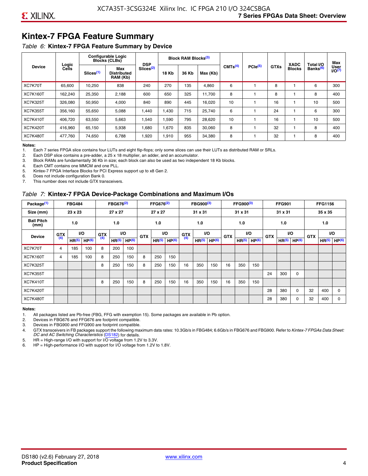# **Kintex-7 FPGA Feature Summary**

#### *Table 6:* **Kintex-7 FPGA Feature Summary by Device**

|                 |                |                       | <b>Configurable Logic</b><br><b>Blocks (CLBs)</b> | <b>DSP</b>            |              | <b>Block RAM Blocks</b> <sup>(3)</sup> |          |                     |              |             | <b>XADC</b>   | Total I/O            | Max               |
|-----------------|----------------|-----------------------|---------------------------------------------------|-----------------------|--------------|----------------------------------------|----------|---------------------|--------------|-------------|---------------|----------------------|-------------------|
| <b>Device</b>   | Logic<br>Cells | Slices <sup>(1)</sup> | Max<br><b>Distributed</b><br>RAM (Kb)             | Slices <sup>(2)</sup> | <b>18 Kb</b> | 36 Kb                                  | Max (Kb) | CMTS <sup>(4)</sup> | $PCle^{(5)}$ | <b>GTXs</b> | <b>Blocks</b> | Banks <sup>(6)</sup> | User<br>$1/0^{7}$ |
| XC7K70T         | 65.600         | 10,250                | 838                                               | 240                   | 270          | 135                                    | 4,860    | 6                   |              | 8           |               | 6                    | 300               |
| <b>XC7K160T</b> | 162,240        | 25,350                | 2,188                                             | 600                   | 650          | 325                                    | 11.700   | 8                   |              | 8           |               | 8                    | 400               |
| <b>XC7K325T</b> | 326,080        | 50,950                | 4,000                                             | 840                   | 890          | 445                                    | 16,020   | 10                  |              | 16          |               | 10                   | 500               |
| <b>XC7K355T</b> | 356.160        | 55,650                | 5,088                                             | 1,440                 | 1.430        | 715                                    | 25,740   | 6                   |              | 24          |               | 6                    | 300               |
| <b>XC7K410T</b> | 406.720        | 63,550                | 5,663                                             | 1,540                 | 1,590        | 795                                    | 28,620   | 10                  |              | 16          |               | 10                   | 500               |
| <b>XC7K420T</b> | 416.960        | 65.150                | 5,938                                             | 1,680                 | 1.670        | 835                                    | 30,060   | 8                   |              | 32          |               | 8                    | 400               |
| <b>XC7K480T</b> | 477.760        | 74,650                | 6,788                                             | 1,920                 | 1,910        | 955                                    | 34,380   | 8                   |              | 32          |               | 8                    | 400               |

#### **Notes:**

1. Each 7 series FPGA slice contains four LUTs and eight flip-flops; only some slices can use their LUTs as distributed RAM or SRLs.<br>2. Each DSP slice contains a pre-adder, a 25 x 18 multiplier, an adder, and an accumulato

Each DSP slice contains a pre-adder, a 25 x 18 multiplier, an adder, and an accumulator.

3. Block RAMs are fundamentally 36 Kb in size; each block can also be used as two independent 18 Kb blocks.

4. Each CMT contains one MMCM and one PLL.

5. Kintex-7 FPGA Interface Blocks for PCI Express support up to x8 Gen 2.

6. Does not include configuration Bank 0.

7. This number does not include GTX transceivers.

#### *Table 7:* **Kintex-7 FPGA Device-Package Combinations and Maximum I/Os**

| Package <sup>(1)</sup>    |            | <b>FBG484</b>     |                   |            | FBG676 <sup>(2)</sup> |                   |            | FFG676 <sup>(2)</sup> |                   |            | FBG900 <sup>(3)</sup> |           |            | FFG900 <sup>(3)</sup> |                   |            | <b>FFG901</b>     |                   |            | <b>FFG1156</b>    |                   |
|---------------------------|------------|-------------------|-------------------|------------|-----------------------|-------------------|------------|-----------------------|-------------------|------------|-----------------------|-----------|------------|-----------------------|-------------------|------------|-------------------|-------------------|------------|-------------------|-------------------|
| Size (mm)                 |            | 23 x 23           |                   |            | 27 x 27               |                   |            | 27 x 27               |                   |            | 31 x 31               |           |            | 31 x 31               |                   |            | 31 x 31           |                   |            | 35 x 35           |                   |
| <b>Ball Pitch</b><br>(mm) |            | 1.0               |                   |            | 1.0                   |                   |            | 1.0                   |                   |            | 1.0                   |           |            | 1.0                   |                   |            | 1.0               |                   |            | 1.0               |                   |
| <b>Device</b>             | <b>GTX</b> |                   | VO.               | <b>GTX</b> | <b>VO</b>             |                   | <b>GTX</b> |                       | <b>VO</b>         | <b>GTX</b> |                       | <b>VO</b> | <b>GTX</b> | <b>VO</b>             |                   | <b>GTX</b> |                   | VO                | <b>GTX</b> | <b>VO</b>         |                   |
|                           | (4)        | HR <sup>(5)</sup> | HP <sup>(6)</sup> | (4)        | HR <sup>(5)</sup>     | HP <sup>(6)</sup> |            | HR <sup>(5)</sup>     | HP <sup>(6)</sup> | (4)        | HR <sup>(5)</sup>     | HP(6)     |            | HR <sup>(5)</sup>     | HP <sup>(6)</sup> |            | HR <sup>(5)</sup> | HP <sup>(6)</sup> |            | HR <sup>(5)</sup> | HP <sup>(6)</sup> |
| XC7K70T                   | 4          | 185               | 100               | 8          | 200                   | 100               |            |                       |                   |            |                       |           |            |                       |                   |            |                   |                   |            |                   |                   |
| <b>XC7K160T</b>           | 4          | 185               | 100               | 8          | 250                   | 150               | 8          | 250                   | 150               |            |                       |           |            |                       |                   |            |                   |                   |            |                   |                   |
| <b>XC7K325T</b>           |            |                   |                   | 8          | 250                   | 150               | 8          | 250                   | 150               | 16         | 350                   | 150       | 16         | 350                   | 150               |            |                   |                   |            |                   |                   |
| <b>XC7K355T</b>           |            |                   |                   |            |                       |                   |            |                       |                   |            |                       |           |            |                       |                   | 24         | 300               | 0                 |            |                   |                   |
| <b>XC7K410T</b>           |            |                   |                   | 8          | 250                   | 150               | 8          | 250                   | 150               | 16         | 350                   | 150       | 16         | 350                   | 150               |            |                   |                   |            |                   |                   |
| <b>XC7K420T</b>           |            |                   |                   |            |                       |                   |            |                       |                   |            |                       |           |            |                       |                   | 28         | 380               | $\Omega$          | 32         | 400               | $\Omega$          |
| <b>XC7K480T</b>           |            |                   |                   |            |                       |                   |            |                       |                   |            |                       |           |            |                       |                   | 28         | 380               | 0                 | 32         | 400               | $\Omega$          |

#### **Notes:**

1. All packages listed are Pb-free (FBG, FFG with exemption 15). Some packages are available in Pb option.

2. Devices in FBG676 and FFG676 are footprint compatible.

3. Devices in FBG900 and FFG900 are footprint compatible. 4. GTX transceivers in FB packages support the following maximum data rates: 10.3Gb/s in FBG484; 6.6Gb/s in FBG676 and FBG900. Refer to *Kintex-7 FPGAs Data Sheet: DC and AC Switching Characteristics* [\(DS182](https://www.xilinx.com/support/documentation/data_sheets/ds182_Kintex_7_Data_Sheet.pdf)) for details.

5. HR = High-range I/O with support for I/O voltage from 1.2V to 3.3V.

6. HP = High-performance I/O with support for I/O voltage from 1.2V to 1.8V.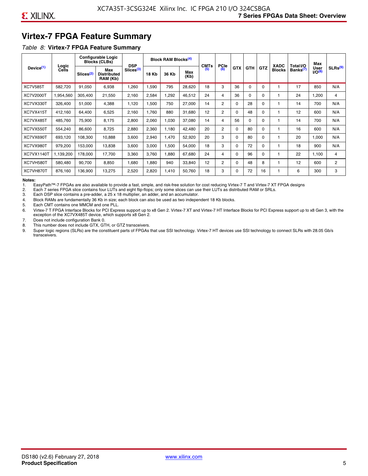# **Virtex-7 FPGA Feature Summary**

#### *Table 8:* **Virtex-7 FPGA Feature Summary**

|                       |                |                       | <b>Configurable Logic</b><br><b>Blocks (CLBs)</b> | <b>DSP</b>            |       | <b>Block RAM Blocks<sup>(4)</sup></b> |             | <b>CMTs</b> | <b>PCIe</b>    |            |            |            | <b>XADC</b>   | Total I/O            | Max                 |                     |
|-----------------------|----------------|-----------------------|---------------------------------------------------|-----------------------|-------|---------------------------------------|-------------|-------------|----------------|------------|------------|------------|---------------|----------------------|---------------------|---------------------|
| Device <sup>(1)</sup> | Logic<br>Cells | Slices <sup>(2)</sup> | Max<br><b>Distributed</b><br>RAM (Kb)             | Slices <sup>(3)</sup> | 18 Kb | 36 Kb                                 | Max<br>(Kb) | (5)         | (6)            | <b>GTX</b> | <b>GTH</b> | <b>GTZ</b> | <b>Blocks</b> | Banks <sup>(7)</sup> | User<br>$1/O^{(8)}$ | SLRs <sup>(9)</sup> |
| <b>XC7V585T</b>       | 582,720        | 91,050                | 6,938                                             | .260                  | 1,590 | 795                                   | 28,620      | 18          | 3              | 36         | $\Omega$   | $\Omega$   |               | 17                   | 850                 | N/A                 |
| XC7V2000T             | 1,954,560      | 305,400               | 21,550                                            | 2,160                 | 2,584 | ,292                                  | 46,512      | 24          | 4              | 36         | $\Omega$   | 0          |               | 24                   | 1,200               | 4                   |
| XC7VX330T             | 326,400        | 51,000                | 4,388                                             | 1,120                 | 1,500 | 750                                   | 27,000      | 14          | $\overline{2}$ | $\Omega$   | 28         | 0          |               | 14                   | 700                 | N/A                 |
| XC7VX415T             | 412,160        | 64,400                | 6,525                                             | 2,160                 | 1,760 | 880                                   | 31,680      | 12          | 2              | $\Omega$   | 48         | $\Omega$   |               | 12                   | 600                 | N/A                 |
| XC7VX485T             | 485,760        | 75,900                | 8,175                                             | 2,800                 | 2,060 | 1,030                                 | 37,080      | 14          | 4              | 56         | $\Omega$   | $\Omega$   |               | 14                   | 700                 | N/A                 |
| XC7VX550T             | 554,240        | 86,600                | 8,725                                             | 2,880                 | 2,360 | 1,180                                 | 42,480      | 20          | $\overline{2}$ | $\Omega$   | 80         | $\Omega$   |               | 16                   | 600                 | N/A                 |
| XC7VX690T             | 693,120        | 108,300               | 10,888                                            | 3,600                 | 2,940 | 1,470                                 | 52,920      | 20          | 3              | $\Omega$   | 80         | $\Omega$   |               | 20                   | 1,000               | N/A                 |
| XC7VX980T             | 979,200        | 153,000               | 13,838                                            | 3,600                 | 3,000 | <b>.500</b>                           | 54,000      | 18          | 3              | $\Omega$   | 72         | $\Omega$   |               | 18                   | 900                 | N/A                 |
| <b>XC7VX1140T</b>     | 1,139,200      | 178,000               | 17,700                                            | 3,360                 | 3,760 | .880                                  | 67,680      | 24          | 4              | $\Omega$   | 96         | $\Omega$   |               | 22                   | 1,100               | 4                   |
| XC7VH580T             | 580,480        | 90,700                | 8,850                                             | 0.680                 | 1,880 | 940                                   | 33,840      | 12          | $\overline{c}$ | $\Omega$   | 48         | 8          |               | 12                   | 600                 | $\mathbf{2}$        |
| XC7VH870T             | 876,160        | 136,900               | 13,275                                            | 2,520                 | 2,820 | 1,410                                 | 50,760      | 18          | 3              | $\Omega$   | 72         | 16         |               | 6                    | 300                 | 3                   |

#### **Notes:**

1. EasyPath™-7 FPGAs are also available to provide a fast, simple, and risk-free solution for cost reducing Virtex-7 T and Virtex-7 XT FPGA designs

2. Each 7 series FPGA slice contains four LUTs and eight flip-flops; only some slices can use their LUTs as distributed RAM or SRLs.

Each DSP slice contains a pre-adder, a 25 x 18 multiplier, an adder, and an accumulator.

4. Block RAMs are fundamentally 36 Kb in size; each block can also be used as two independent 18 Kb blocks.

5. Each CMT contains one MMCM and one PLL.

6. Virtex-7 T FPGA Interface Blocks for PCI Express support up to x8 Gen 2. Virtex-7 XT and Virtex-7 HT Interface Blocks for PCI Express support up to x8 Gen 3, with the exception of the XC7VX485T device, which supports x8 Gen 2.

7. Does not include configuration Bank 0.

8. This number does not include GTX, GTH, or GTZ transceivers.

9. Super logic regions (SLRs) are the constituent parts of FPGAs that use SSI technology. Virtex-7 HT devices use SSI technology to connect SLRs with 28.05 Gb/s transceivers.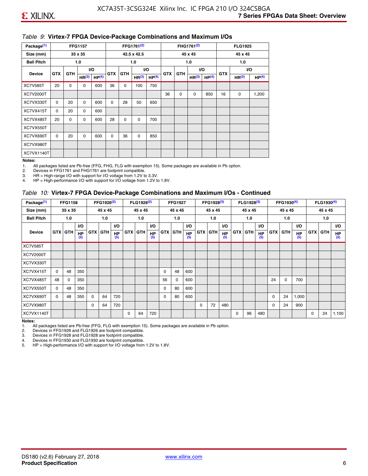#### *Table 9:* **Virtex-7 FPGA Device-Package Combinations and Maximum I/Os**

| Package <sup>(1)</sup> |            | <b>FFG1157</b> |                   |                   |            |            | FFG1761 <sup>(2)</sup> |                   |            |                   | FHG1761 <sup>(2)</sup> |                   |    | <b>FLG1925</b>    |                   |
|------------------------|------------|----------------|-------------------|-------------------|------------|------------|------------------------|-------------------|------------|-------------------|------------------------|-------------------|----|-------------------|-------------------|
| Size (mm)              |            |                | 35 x 35           |                   |            |            | 42.5 x 42.5            |                   |            |                   | 45 x 45                |                   |    | 45 x 45           |                   |
| <b>Ball Pitch</b>      |            |                | 1.0               |                   |            |            | 1.0                    |                   |            |                   | 1.0                    |                   |    | 1.0               |                   |
| <b>Device</b>          | <b>GTX</b> | <b>GTH</b>     |                   | <b>VO</b>         | <b>GTX</b> | <b>GTH</b> |                        | I/O               | <b>GTX</b> | VO.<br><b>GTH</b> |                        | <b>GTX</b>        |    | VO.               |                   |
|                        |            |                | HR <sup>(3)</sup> | HP <sup>(4)</sup> |            |            | HR <sup>(3)</sup>      | HP <sup>(4)</sup> |            |                   | HR <sup>(3)</sup>      | HP <sup>(4)</sup> |    | HR <sup>(3)</sup> | HP <sup>(4)</sup> |
| <b>XC7V585T</b>        | 20         | 0              | 0                 | 600               | 36         | 0          | 100                    | 750               |            |                   |                        |                   |    |                   |                   |
| XC7V2000T              |            |                |                   |                   |            |            |                        |                   | 36         | $\mathbf 0$       | 0                      | 850               | 16 | 0                 | 1,200             |
| XC7VX330T              | $\Omega$   | 20             | $\Omega$          | 600               | $\Omega$   | 28         | 50                     | 650               |            |                   |                        |                   |    |                   |                   |
| XC7VX415T              | $\Omega$   | 20             | $\Omega$          | 600               |            |            |                        |                   |            |                   |                        |                   |    |                   |                   |
| XC7VX485T              | 20         | 0              | 0                 | 600               | 28         | 0          | 0                      | 700               |            |                   |                        |                   |    |                   |                   |
| XC7VX550T              |            |                |                   |                   |            |            |                        |                   |            |                   |                        |                   |    |                   |                   |
| XC7VX690T              | $\Omega$   | 20             | $\Omega$          | 600               | $\Omega$   | 36         | $\Omega$               | 850               |            |                   |                        |                   |    |                   |                   |
| XC7VX980T              |            |                |                   |                   |            |            |                        |                   |            |                   |                        |                   |    |                   |                   |
| XC7VX1140T             |            |                |                   |                   |            |            |                        |                   |            |                   |                        |                   |    |                   |                   |

#### **Notes:**

1. All packages listed are Pb-free (FFG, FHG, FLG with exemption 15). Some packages are available in Pb option.

2. Devices in FFG1761 and FHG1761 are footprint compatible.<br>3. HR = High-range I/O with support for I/O voltage from 1.2V to

HR = High-range I/O with support for I/O voltage from 1.2V to 3.3V.

4. HP = High-performance I/O with support for I/O voltage from 1.2V to 1.8V.

#### *Table 10:* **Virtex-7 FPGA Device-Package Combinations and Maximum I/Os - Continued**

| Package <sup>(1)</sup> |          | <b>FFG1158</b> |                  |            | FFG1926 <sup>(2)</sup> |                  |            | FLG1926 <sup>(2)</sup> |                  |    | <b>FFG1927</b> |                  |            | FFG1928 <sup>(3)</sup> |                  |            | FLG1928 <sup>(3)</sup> |                  |             | FFG1930 <sup>(4)</sup> |           |            | $FLG1930^{(4)}$ |                  |
|------------------------|----------|----------------|------------------|------------|------------------------|------------------|------------|------------------------|------------------|----|----------------|------------------|------------|------------------------|------------------|------------|------------------------|------------------|-------------|------------------------|-----------|------------|-----------------|------------------|
| Size (mm)              |          | 35 x 35        |                  |            | 45 x 45                |                  |            | 45 x 45                |                  |    | 45 x 45        |                  |            | 45 x 45                |                  |            | 45 x 45                |                  |             | 45 x 45                |           |            | 45 x 45         |                  |
| <b>Ball Pitch</b>      |          | 1.0            |                  |            | 1.0                    |                  |            | 1.0                    |                  |    | 1.0            |                  |            | 1.0                    |                  |            | 1.0                    |                  |             | 1.0                    |           |            | 1.0             |                  |
|                        |          |                | <b>VO</b>        |            |                        | <b>VO</b>        |            |                        | VO.              |    |                | <b>VO</b>        |            |                        | <b>VO</b>        |            |                        | <b>VO</b>        |             |                        | <b>VO</b> |            |                 | VO.              |
| <b>Device</b>          |          | <b>GTX GTH</b> | <b>HP</b><br>(5) | <b>GTX</b> | <b>GTH</b>             | <b>HP</b><br>(5) | <b>GTX</b> | <b>GTH</b>             | <b>HP</b><br>(5) |    | <b>GTX GTH</b> | <b>HP</b><br>(5) | <b>GTX</b> | <b>GTH</b>             | <b>HP</b><br>(5) | <b>GTX</b> | <b>GTH</b>             | <b>HP</b><br>(5) | <b>GTX</b>  | GTH                    | HP<br>(5) | <b>GTX</b> | GTH             | <b>HP</b><br>(5) |
| <b>XC7V585T</b>        |          |                |                  |            |                        |                  |            |                        |                  |    |                |                  |            |                        |                  |            |                        |                  |             |                        |           |            |                 |                  |
| XC7V2000T              |          |                |                  |            |                        |                  |            |                        |                  |    |                |                  |            |                        |                  |            |                        |                  |             |                        |           |            |                 |                  |
| XC7VX330T              |          |                |                  |            |                        |                  |            |                        |                  |    |                |                  |            |                        |                  |            |                        |                  |             |                        |           |            |                 |                  |
| XC7VX415T              | $\Omega$ | 48             | 350              |            |                        |                  |            |                        |                  | 0  | 48             | 600              |            |                        |                  |            |                        |                  |             |                        |           |            |                 |                  |
| XC7VX485T              | 48       | 0              | 350              |            |                        |                  |            |                        |                  | 56 | 0              | 600              |            |                        |                  |            |                        |                  | 24          | 0                      | 700       |            |                 |                  |
| XC7VX550T              | 0        | 48             | 350              |            |                        |                  |            |                        |                  | 0  | 80             | 600              |            |                        |                  |            |                        |                  |             |                        |           |            |                 |                  |
| XC7VX690T              | $\Omega$ | 48             | 350              | $\Omega$   | 64                     | 720              |            |                        |                  | 0  | 80             | 600              |            |                        |                  |            |                        |                  | $\mathbf 0$ | 24                     | 1,000     |            |                 |                  |
| XC7VX980T              |          |                |                  | $\Omega$   | 64                     | 720              |            |                        |                  |    |                |                  | $\Omega$   | 72                     | 480              |            |                        |                  | 0           | 24                     | 900       |            |                 |                  |
| XC7VX1140T             |          |                |                  |            |                        |                  | $\Omega$   | 64                     | 720              |    |                |                  |            |                        |                  | $\Omega$   | 96                     | 480              |             |                        |           | 0          | 24              | 1,100            |

**Notes:** 

1. All packages listed are Pb-free (FFG, FLG with exemption 15). Some packages are available in Pb option.<br>2. Devices in FFG1926 and FLG1926 are footprint compatible.

2. Devices in FFG1926 and FLG1926 are footprint compatible.

3. Devices in FFG1928 and FLG1928 are footprint compatible.

4. Devices in FFG1930 and FLG1930 are footprint compatible.<br>5. HP = High-performance I/O with support for I/O voltage from HP = High-performance I/O with support for I/O voltage from 1.2V to 1.8V.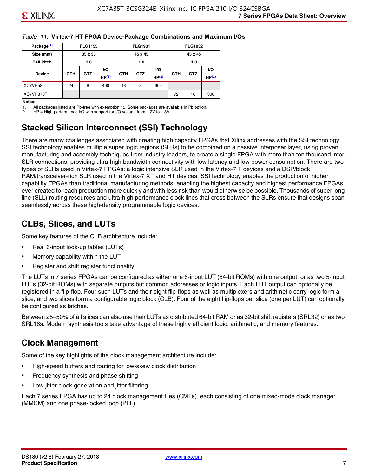#### *Table 11:* **Virtex-7 HT FPGA Device-Package Combinations and Maximum I/Os**

| Package <sup>(1)</sup> |            | <b>FLG1155</b> |       |            | <b>FLG1931</b> |           |            | <b>FLG1932</b> |                   |
|------------------------|------------|----------------|-------|------------|----------------|-----------|------------|----------------|-------------------|
| Size (mm)              |            | 35 x 35        |       |            | 45 x 45        |           |            | 45 x 45        |                   |
| <b>Ball Pitch</b>      |            | 1.0            |       |            | 1.0            |           |            | 1.0            |                   |
|                        |            |                | VO.   |            |                | <b>VO</b> |            |                | VO.               |
| <b>Device</b>          | <b>GTH</b> | <b>GTZ</b>     | HP(2) | <b>GTH</b> | <b>GTZ</b>     | HP(2)     | <b>GTH</b> | <b>GTZ</b>     | HP <sup>(2)</sup> |
| XC7VH580T              | 24         | 8              | 400   | 48         | 8              | 600       |            |                |                   |
| XC7VH870T              |            |                |       |            |                |           | 72         | 16             | 300               |

#### **Notes:**

1. All packages listed are Pb-free with exemption 15. Some packages are available in Pb option.

2. HP = High-performance I/O with support for I/O voltage from 1.2V to 1.8V.

# **Stacked Silicon Interconnect (SSI) Technology**

There are many challenges associated with creating high capacity FPGAs that Xilinx addresses with the SSI technology. SSI technology enables multiple super logic regions (SLRs) to be combined on a passive interposer layer, using proven manufacturing and assembly techniques from industry leaders, to create a single FPGA with more than ten thousand inter-SLR connections, providing ultra-high bandwidth connectivity with low latency and low power consumption. There are two types of SLRs used in Virtex-7 FPGAs: a logic intensive SLR used in the Virtex-7 T devices and a DSP/block RAM/transceiver-rich SLR used in the Virtex-7 XT and HT devices. SSI technology enables the production of higher capability FPGAs than traditional manufacturing methods, enabling the highest capacity and highest performance FPGAs ever created to reach production more quickly and with less risk than would otherwise be possible. Thousands of super long line (SLL) routing resources and ultra-high performance clock lines that cross between the SLRs ensure that designs span seamlessly across these high-density programmable logic devices.

# **CLBs, Slices, and LUTs**

Some key features of the CLB architecture include:

- Real 6-input look-up tables (LUTs)
- Memory capability within the LUT
- Register and shift register functionality

The LUTs in 7 series FPGAs can be configured as either one 6-input LUT (64-bit ROMs) with one output, or as two 5-input LUTs (32-bit ROMs) with separate outputs but common addresses or logic inputs. Each LUT output can optionally be registered in a flip-flop. Four such LUTs and their eight flip-flops as well as multiplexers and arithmetic carry logic form a slice, and two slices form a configurable logic block (CLB). Four of the eight flip-flops per slice (one per LUT) can optionally be configured as latches.

Between 25–50% of all slices can also use their LUTs as distributed 64-bit RAM or as 32-bit shift registers (SRL32) or as two SRL16s. Modern synthesis tools take advantage of these highly efficient logic, arithmetic, and memory features.

# **Clock Management**

Some of the key highlights of the clock management architecture include:

- High-speed buffers and routing for low-skew clock distribution
- Frequency synthesis and phase shifting
- Low-jitter clock generation and jitter filtering

Each 7 series FPGA has up to 24 clock management tiles (CMTs), each consisting of one mixed-mode clock manager (MMCM) and one phase-locked loop (PLL).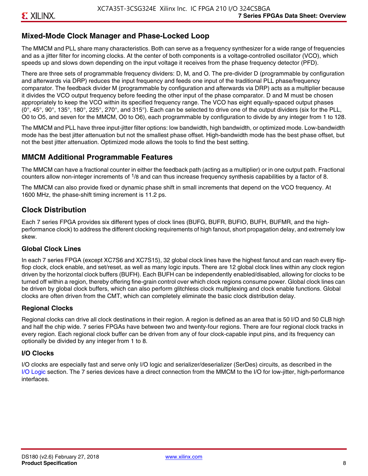## **Mixed-Mode Clock Manager and Phase-Locked Loop**

The MMCM and PLL share many characteristics. Both can serve as a frequency synthesizer for a wide range of frequencies and as a jitter filter for incoming clocks. At the center of both components is a voltage-controlled oscillator (VCO), which speeds up and slows down depending on the input voltage it receives from the phase frequency detector (PFD).

There are three sets of programmable frequency dividers: D, M, and O. The pre-divider D (programmable by configuration and afterwards via DRP) reduces the input frequency and feeds one input of the traditional PLL phase/frequency comparator. The feedback divider M (programmable by configuration and afterwards via DRP) acts as a multiplier because it divides the VCO output frequency before feeding the other input of the phase comparator. D and M must be chosen appropriately to keep the VCO within its specified frequency range. The VCO has eight equally-spaced output phases  $(0^\circ, 45^\circ, 90^\circ, 135^\circ, 180^\circ, 225^\circ, 270^\circ,$  and  $315^\circ$ ). Each can be selected to drive one of the output dividers (six for the PLL, O0 to O5, and seven for the MMCM, O0 to O6), each programmable by configuration to divide by any integer from 1 to 128.

The MMCM and PLL have three input-jitter filter options: low bandwidth, high bandwidth, or optimized mode. Low-bandwidth mode has the best jitter attenuation but not the smallest phase offset. High-bandwidth mode has the best phase offset, but not the best jitter attenuation. Optimized mode allows the tools to find the best setting.

#### **MMCM Additional Programmable Features**

The MMCM can have a fractional counter in either the feedback path (acting as a multiplier) or in one output path. Fractional counters allow non-integer increments of  $1/8$  and can thus increase frequency synthesis capabilities by a factor of 8.

The MMCM can also provide fixed or dynamic phase shift in small increments that depend on the VCO frequency. At 1600 MHz, the phase-shift timing increment is 11.2 ps.

## **Clock Distribution**

Each 7 series FPGA provides six different types of clock lines (BUFG, BUFR, BUFIO, BUFH, BUFMR, and the highperformance clock) to address the different clocking requirements of high fanout, short propagation delay, and extremely low skew.

#### **Global Clock Lines**

In each 7 series FPGA (except XC7S6 and XC7S15), 32 global clock lines have the highest fanout and can reach every flipflop clock, clock enable, and set/reset, as well as many logic inputs. There are 12 global clock lines within any clock region driven by the horizontal clock buffers (BUFH). Each BUFH can be independently enabled/disabled, allowing for clocks to be turned off within a region, thereby offering fine-grain control over which clock regions consume power. Global clock lines can be driven by global clock buffers, which can also perform glitchless clock multiplexing and clock enable functions. Global clocks are often driven from the CMT, which can completely eliminate the basic clock distribution delay.

#### **Regional Clocks**

Regional clocks can drive all clock destinations in their region. A region is defined as an area that is 50 I/O and 50 CLB high and half the chip wide. 7 series FPGAs have between two and twenty-four regions. There are four regional clock tracks in every region. Each regional clock buffer can be driven from any of four clock-capable input pins, and its frequency can optionally be divided by any integer from 1 to 8.

#### **I/O Clocks**

I/O clocks are especially fast and serve only I/O logic and serializer/deserializer (SerDes) circuits, as described in the I/O Logic section. The 7 series devices have a direct connection from the MMCM to the I/O for low-jitter, high-performance interfaces.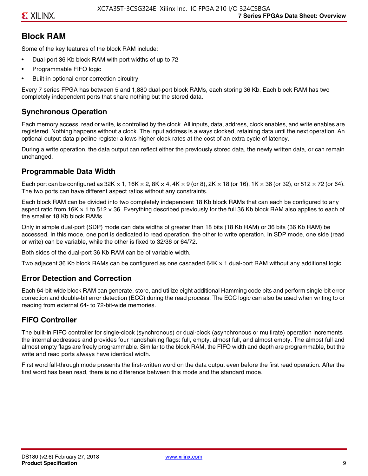# **Block RAM**

Some of the key features of the block RAM include:

- Dual-port 36 Kb block RAM with port widths of up to 72
- Programmable FIFO logic
- Built-in optional error correction circuitry

Every 7 series FPGA has between 5 and 1,880 dual-port block RAMs, each storing 36 Kb. Each block RAM has two completely independent ports that share nothing but the stored data.

# **Synchronous Operation**

Each memory access, read or write, is controlled by the clock. All inputs, data, address, clock enables, and write enables are registered. Nothing happens without a clock. The input address is always clocked, retaining data until the next operation. An optional output data pipeline register allows higher clock rates at the cost of an extra cycle of latency.

During a write operation, the data output can reflect either the previously stored data, the newly written data, or can remain unchanged.

#### **Programmable Data Width**

Each port can be configured as 32K  $\times$  1, 16K  $\times$  2, 8K  $\times$  4, 4K  $\times$  9 (or 8), 2K  $\times$  18 (or 16), 1K  $\times$  36 (or 32), or 512  $\times$  72 (or 64). The two ports can have different aspect ratios without any constraints.

Each block RAM can be divided into two completely independent 18 Kb block RAMs that can each be configured to any aspect ratio from 16K  $\times$  1 to 512  $\times$  36. Everything described previously for the full 36 Kb block RAM also applies to each of the smaller 18 Kb block RAMs.

Only in simple dual-port (SDP) mode can data widths of greater than 18 bits (18 Kb RAM) or 36 bits (36 Kb RAM) be accessed. In this mode, one port is dedicated to read operation, the other to write operation. In SDP mode, one side (read or write) can be variable, while the other is fixed to 32/36 or 64/72.

Both sides of the dual-port 36 Kb RAM can be of variable width.

Two adjacent 36 Kb block RAMs can be configured as one cascaded 64K × 1 dual-port RAM without any additional logic.

#### **Error Detection and Correction**

Each 64-bit-wide block RAM can generate, store, and utilize eight additional Hamming code bits and perform single-bit error correction and double-bit error detection (ECC) during the read process. The ECC logic can also be used when writing to or reading from external 64- to 72-bit-wide memories.

## **FIFO Controller**

The built-in FIFO controller for single-clock (synchronous) or dual-clock (asynchronous or multirate) operation increments the internal addresses and provides four handshaking flags: full, empty, almost full, and almost empty. The almost full and almost empty flags are freely programmable. Similar to the block RAM, the FIFO width and depth are programmable, but the write and read ports always have identical width.

First word fall-through mode presents the first-written word on the data output even before the first read operation. After the first word has been read, there is no difference between this mode and the standard mode.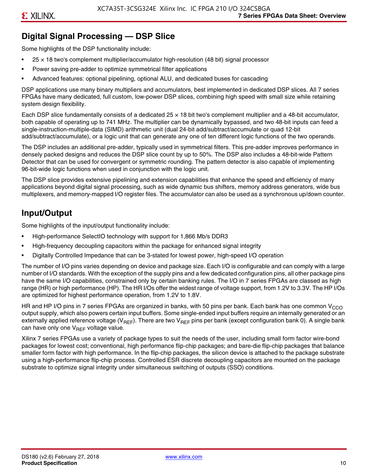# **Digital Signal Processing — DSP Slice**

Some highlights of the DSP functionality include:

- $25 \times 18$  two's complement multiplier/accumulator high-resolution (48 bit) signal processor
- Power saving pre-adder to optimize symmetrical filter applications
- Advanced features: optional pipelining, optional ALU, and dedicated buses for cascading

DSP applications use many binary multipliers and accumulators, best implemented in dedicated DSP slices. All 7 series FPGAs have many dedicated, full custom, low-power DSP slices, combining high speed with small size while retaining system design flexibility.

Each DSP slice fundamentally consists of a dedicated 25 × 18 bit two's complement multiplier and a 48-bit accumulator, both capable of operating up to 741 MHz. The multiplier can be dynamically bypassed, and two 48-bit inputs can feed a single-instruction-multiple-data (SIMD) arithmetic unit (dual 24-bit add/subtract/accumulate or quad 12-bit add/subtract/accumulate), or a logic unit that can generate any one of ten different logic functions of the two operands.

The DSP includes an additional pre-adder, typically used in symmetrical filters. This pre-adder improves performance in densely packed designs and reduces the DSP slice count by up to 50%. The DSP also includes a 48-bit-wide Pattern Detector that can be used for convergent or symmetric rounding. The pattern detector is also capable of implementing 96-bit-wide logic functions when used in conjunction with the logic unit.

The DSP slice provides extensive pipelining and extension capabilities that enhance the speed and efficiency of many applications beyond digital signal processing, such as wide dynamic bus shifters, memory address generators, wide bus multiplexers, and memory-mapped I/O register files. The accumulator can also be used as a synchronous up/down counter.

# **Input/Output**

Some highlights of the input/output functionality include:

- High-performance SelectIO technology with support for 1,866 Mb/s DDR3
- High-frequency decoupling capacitors within the package for enhanced signal integrity
- Digitally Controlled Impedance that can be 3-stated for lowest power, high-speed I/O operation

The number of I/O pins varies depending on device and package size. Each I/O is configurable and can comply with a large number of I/O standards. With the exception of the supply pins and a few dedicated configuration pins, all other package pins have the same I/O capabilities, constrained only by certain banking rules. The I/O in 7 series FPGAs are classed as high range (HR) or high performance (HP). The HR I/Os offer the widest range of voltage support, from 1.2V to 3.3V. The HP I/Os are optimized for highest performance operation, from 1.2V to 1.8V.

HR and HP I/O pins in 7 series FPGAs are organized in banks, with 50 pins per bank. Each bank has one common V<sub>CCO</sub> output supply, which also powers certain input buffers. Some single-ended input buffers require an internally generated or an externally applied reference voltage ( $V_{RFF}$ ). There are two  $V_{RFF}$  pins per bank (except configuration bank 0). A single bank can have only one  $V_{\text{RFF}}$  voltage value.

Xilinx 7 series FPGAs use a variety of package types to suit the needs of the user, including small form factor wire-bond packages for lowest cost; conventional, high performance flip-chip packages; and bare-die flip-chip packages that balance smaller form factor with high performance. In the flip-chip packages, the silicon device is attached to the package substrate using a high-performance flip-chip process. Controlled ESR discrete decoupling capacitors are mounted on the package substrate to optimize signal integrity under simultaneous switching of outputs (SSO) conditions.

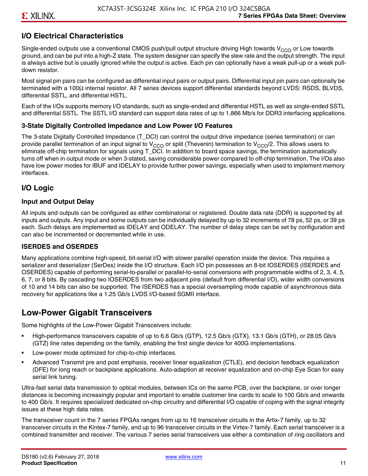# **I/O Electrical Characteristics**

Single-ended outputs use a conventional CMOS push/pull output structure driving High towards  $V_{CCO}$  or Low towards ground, and can be put into a high-Z state. The system designer can specify the slew rate and the output strength. The input is always active but is usually ignored while the output is active. Each pin can optionally have a weak pull-up or a weak pulldown resistor.

Most signal pin pairs can be configured as differential input pairs or output pairs. Differential input pin pairs can optionally be terminated with a 100Ω internal resistor. All 7 series devices support differential standards beyond LVDS: RSDS, BLVDS, differential SSTL, and differential HSTL.

Each of the I/Os supports memory I/O standards, such as single-ended and differential HSTL as well as single-ended SSTL and differential SSTL. The SSTL I/O standard can support data rates of up to 1,866 Mb/s for DDR3 interfacing applications.

#### **3-State Digitally Controlled Impedance and Low Power I/O Features**

The 3-state Digitally Controlled Impedance (T\_DCI) can control the output drive impedance (series termination) or can provide parallel termination of an input signal to V<sub>CCO</sub> or split (Thevenin) termination to V<sub>CCO</sub>/2. This allows users to eliminate off-chip termination for signals using T\_DCI. In addition to board space savings, the termination automatically turns off when in output mode or when 3-stated, saving considerable power compared to off-chip termination. The I/Os also have low power modes for IBUF and IDELAY to provide further power savings, especially when used to implement memory interfaces.

## **I/O Logic**

#### **Input and Output Delay**

All inputs and outputs can be configured as either combinatorial or registered. Double data rate (DDR) is supported by all inputs and outputs. Any input and some outputs can be individually delayed by up to 32 increments of 78 ps, 52 ps, or 39 ps each. Such delays are implemented as IDELAY and ODELAY. The number of delay steps can be set by configuration and can also be incremented or decremented while in use.

#### **ISERDES and OSERDES**

Many applications combine high-speed, bit-serial I/O with slower parallel operation inside the device. This requires a serializer and deserializer (SerDes) inside the I/O structure. Each I/O pin possesses an 8-bit IOSERDES (ISERDES and OSERDES) capable of performing serial-to-parallel or parallel-to-serial conversions with programmable widths of 2, 3, 4, 5, 6, 7, or 8 bits. By cascading two IOSERDES from two adjacent pins (default from differential I/O), wider width conversions of 10 and 14 bits can also be supported. The ISERDES has a special oversampling mode capable of asynchronous data recovery for applications like a 1.25 Gb/s LVDS I/O-based SGMII interface.

# **Low-Power Gigabit Transceivers**

Some highlights of the Low-Power Gigabit Transceivers include:

- High-performance transceivers capable of up to 6.6 Gb/s (GTP), 12.5 Gb/s (GTX), 13.1 Gb/s (GTH), or 28.05 Gb/s (GTZ) line rates depending on the family, enabling the first single device for 400G implementations.
- Low-power mode optimized for chip-to-chip interfaces.
- Advanced Transmit pre and post emphasis, receiver linear equalization (CTLE), and decision feedback equalization (DFE) for long reach or backplane applications. Auto-adaption at receiver equalization and on-chip Eye Scan for easy serial link tuning.

Ultra-fast serial data transmission to optical modules, between ICs on the same PCB, over the backplane, or over longer distances is becoming increasingly popular and important to enable customer line cards to scale to 100 Gb/s and onwards to 400 Gb/s. It requires specialized dedicated on-chip circuitry and differential I/O capable of coping with the signal integrity issues at these high data rates.

The transceiver count in the 7 series FPGAs ranges from up to 16 transceiver circuits in the Artix-7 family, up to 32 transceiver circuits in the Kintex-7 family, and up to 96 transceiver circuits in the Virtex-7 family. Each serial transceiver is a combined transmitter and receiver. The various 7 series serial transceivers use either a combination of ring oscillators and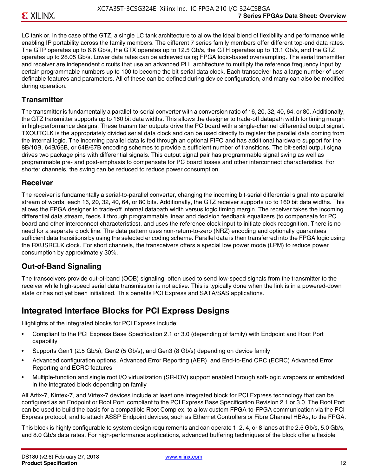LC tank or, in the case of the GTZ, a single LC tank architecture to allow the ideal blend of flexibility and performance while enabling IP portability across the family members. The different 7 series family members offer different top-end data rates. The GTP operates up to 6.6 Gb/s, the GTX operates up to 12.5 Gb/s, the GTH operates up to 13.1 Gb/s, and the GTZ operates up to 28.05 Gb/s. Lower data rates can be achieved using FPGA logic-based oversampling. The serial transmitter and receiver are independent circuits that use an advanced PLL architecture to multiply the reference frequency input by certain programmable numbers up to 100 to become the bit-serial data clock. Each transceiver has a large number of userdefinable features and parameters. All of these can be defined during device configuration, and many can also be modified during operation.

#### **Transmitter**

The transmitter is fundamentally a parallel-to-serial converter with a conversion ratio of 16, 20, 32, 40, 64, or 80. Additionally, the GTZ transmitter supports up to 160 bit data widths. This allows the designer to trade-off datapath width for timing margin in high-performance designs. These transmitter outputs drive the PC board with a single-channel differential output signal. TXOUTCLK is the appropriately divided serial data clock and can be used directly to register the parallel data coming from the internal logic. The incoming parallel data is fed through an optional FIFO and has additional hardware support for the 8B/10B, 64B/66B, or 64B/67B encoding schemes to provide a sufficient number of transitions. The bit-serial output signal drives two package pins with differential signals. This output signal pair has programmable signal swing as well as programmable pre- and post-emphasis to compensate for PC board losses and other interconnect characteristics. For shorter channels, the swing can be reduced to reduce power consumption.

#### **Receiver**

The receiver is fundamentally a serial-to-parallel converter, changing the incoming bit-serial differential signal into a parallel stream of words, each 16, 20, 32, 40, 64, or 80 bits. Additionally, the GTZ receiver supports up to 160 bit data widths. This allows the FPGA designer to trade-off internal datapath width versus logic timing margin. The receiver takes the incoming differential data stream, feeds it through programmable linear and decision feedback equalizers (to compensate for PC board and other interconnect characteristics), and uses the reference clock input to initiate clock recognition. There is no need for a separate clock line. The data pattern uses non-return-to-zero (NRZ) encoding and optionally guarantees sufficient data transitions by using the selected encoding scheme. Parallel data is then transferred into the FPGA logic using the RXUSRCLK clock. For short channels, the transceivers offers a special low power mode (LPM) to reduce power consumption by approximately 30%.

## **Out-of-Band Signaling**

The transceivers provide out-of-band (OOB) signaling, often used to send low-speed signals from the transmitter to the receiver while high-speed serial data transmission is not active. This is typically done when the link is in a powered-down state or has not yet been initialized. This benefits PCI Express and SATA/SAS applications.

# **Integrated Interface Blocks for PCI Express Designs**

Highlights of the integrated blocks for PCI Express include:

- Compliant to the PCI Express Base Specification 2.1 or 3.0 (depending of family) with Endpoint and Root Port capability
- Supports Gen1 (2.5 Gb/s), Gen2 (5 Gb/s), and Gen3 (8 Gb/s) depending on device family
- Advanced configuration options, Advanced Error Reporting (AER), and End-to-End CRC (ECRC) Advanced Error Reporting and ECRC features
- Multiple-function and single root I/O virtualization (SR-IOV) support enabled through soft-logic wrappers or embedded in the integrated block depending on family

All Artix-7, Kintex-7, and Virtex-7 devices include at least one integrated block for PCI Express technology that can be configured as an Endpoint or Root Port, compliant to the PCI Express Base Specification Revision 2.1 or 3.0. The Root Port can be used to build the basis for a compatible Root Complex, to allow custom FPGA-to-FPGA communication via the PCI Express protocol, and to attach ASSP Endpoint devices, such as Ethernet Controllers or Fibre Channel HBAs, to the FPGA.

This block is highly configurable to system design requirements and can operate 1, 2, 4, or 8 lanes at the 2.5 Gb/s, 5.0 Gb/s, and 8.0 Gb/s data rates. For high-performance applications, advanced buffering techniques of the block offer a flexible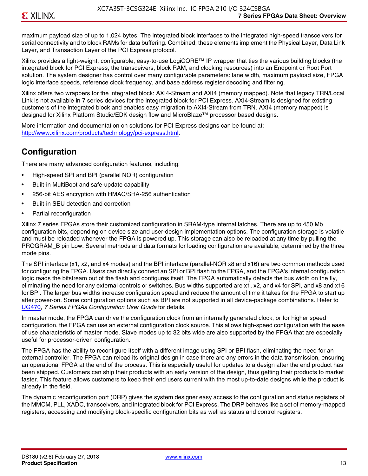maximum payload size of up to 1,024 bytes. The integrated block interfaces to the integrated high-speed transceivers for serial connectivity and to block RAMs for data buffering. Combined, these elements implement the Physical Layer, Data Link Layer, and Transaction Layer of the PCI Express protocol.

Xilinx provides a light-weight, configurable, easy-to-use LogiCORE™ IP wrapper that ties the various building blocks (the integrated block for PCI Express, the transceivers, block RAM, and clocking resources) into an Endpoint or Root Port solution. The system designer has control over many configurable parameters: lane width, maximum payload size, FPGA logic interface speeds, reference clock frequency, and base address register decoding and filtering.

Xilinx offers two wrappers for the integrated block: AXI4-Stream and AXI4 (memory mapped). Note that legacy TRN/Local Link is not available in 7 series devices for the integrated block for PCI Express. AXI4-Stream is designed for existing customers of the integrated block and enables easy migration to AXI4-Stream from TRN. AXI4 (memory mapped) is designed for Xilinx Platform Studio/EDK design flow and MicroBlaze™ processor based designs.

More information and documentation on solutions for PCI Express designs can be found at: <http://www.xilinx.com/products/technology/pci-express.html>.

# **Configuration**

There are many advanced configuration features, including:

- High-speed SPI and BPI (parallel NOR) configuration
- Built-in MultiBoot and safe-update capability
- 256-bit AES encryption with HMAC/SHA-256 authentication
- Built-in SEU detection and correction
- Partial reconfiguration

Xilinx 7 series FPGAs store their customized configuration in SRAM-type internal latches. There are up to 450 Mb configuration bits, depending on device size and user-design implementation options. The configuration storage is volatile and must be reloaded whenever the FPGA is powered up. This storage can also be reloaded at any time by pulling the PROGRAM B pin Low. Several methods and data formats for loading configuration are available, determined by the three mode pins.

The SPI interface (x1, x2, and x4 modes) and the BPI interface (parallel-NOR x8 and x16) are two common methods used for configuring the FPGA. Users can directly connect an SPI or BPI flash to the FPGA, and the FPGA's internal configuration logic reads the bitstream out of the flash and configures itself. The FPGA automatically detects the bus width on the fly, eliminating the need for any external controls or switches. Bus widths supported are x1, x2, and x4 for SPI, and x8 and x16 for BPI. The larger bus widths increase configuration speed and reduce the amount of time it takes for the FPGA to start up after power-on. Some configuration options such as BPI are not supported in all device-package combinations. Refer to [UG470,](http://www.xilinx.com/support/documentation/user_guides/ug470_7Series_Config.pdf) *7 Series FPGAs Configuration User Guide* for details.

In master mode, the FPGA can drive the configuration clock from an internally generated clock, or for higher speed configuration, the FPGA can use an external configuration clock source. This allows high-speed configuration with the ease of use characteristic of master mode. Slave modes up to 32 bits wide are also supported by the FPGA that are especially useful for processor-driven configuration.

The FPGA has the ability to reconfigure itself with a different image using SPI or BPI flash, eliminating the need for an external controller. The FPGA can reload its original design in case there are any errors in the data transmission, ensuring an operational FPGA at the end of the process. This is especially useful for updates to a design after the end product has been shipped. Customers can ship their products with an early version of the design, thus getting their products to market faster. This feature allows customers to keep their end users current with the most up-to-date designs while the product is already in the field.

The dynamic reconfiguration port (DRP) gives the system designer easy access to the configuration and status registers of the MMCM, PLL, XADC, transceivers, and integrated block for PCI Express. The DRP behaves like a set of memory-mapped registers, accessing and modifying block-specific configuration bits as well as status and control registers.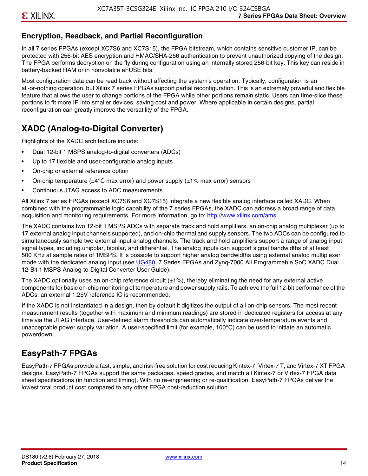# **Encryption, Readback, and Partial Reconfiguration**

In all 7 series FPGAs (except XC7S6 and XC7S15), the FPGA bitstream, which contains sensitive customer IP, can be protected with 256-bit AES encryption and HMAC/SHA-256 authentication to prevent unauthorized copying of the design. The FPGA performs decryption on the fly during configuration using an internally stored 256-bit key. This key can reside in battery-backed RAM or in nonvolatile eFUSE bits.

Most configuration data can be read back without affecting the system's operation. Typically, configuration is an all-or-nothing operation, but Xilinx 7 series FPGAs support partial reconfiguration. This is an extremely powerful and flexible feature that allows the user to change portions of the FPGA while other portions remain static. Users can time-slice these portions to fit more IP into smaller devices, saving cost and power. Where applicable in certain designs, partial reconfiguration can greatly improve the versatility of the FPGA.

# **XADC (Analog-to-Digital Converter)**

Highlights of the XADC architecture include:

- Dual 12-bit 1 MSPS analog-to-digital converters (ADCs)
- Up to 17 flexible and user-configurable analog inputs
- On-chip or external reference option
- On-chip temperature ( $\pm 4^{\circ}$ C max error) and power supply ( $\pm 1\%$  max error) sensors
- Continuous JTAG access to ADC measurements

All Xilinx 7 series FPGAs (except XC7S6 and XC7S15) integrate a new flexible analog interface called XADC. When combined with the programmable logic capability of the 7 series FPGAs, the XADC can address a broad range of data acquisition and monitoring requirements. For more information, go to: [http://www.xilinx.com/ams.](http://www.xilinx.com/ams)

The XADC contains two 12-bit 1 MSPS ADCs with separate track and hold amplifiers, an on-chip analog multiplexer (up to 17 external analog input channels supported), and on-chip thermal and supply sensors. The two ADCs can be configured to simultaneously sample two external-input analog channels. The track and hold amplifiers support a range of analog input signal types, including unipolar, bipolar, and differential. The analog inputs can support signal bandwidths of at least 500 KHz at sample rates of 1MSPS. It is possible to support higher analog bandwidths using external analog multiplexer mode with the dedicated analog input (see [UG480](http://www.xilinx.com/support/documentation/user_guides/ug480_7Series_XADC.pdf), 7 Series FPGAs and Zynq-7000 All Programmable SoC XADC Dual 12-Bit 1 MSPS Analog-to-Digital Converter User Guide)*.*

The XADC optionally uses an on-chip reference circuit  $(\pm 1\%)$ , thereby eliminating the need for any external active components for basic on-chip monitoring of temperature and power supply rails. To achieve the full 12-bit performance of the ADCs, an external 1.25V reference IC is recommended.

If the XADC is not instantiated in a design, then by default it digitizes the output of all on-chip sensors. The most recent measurement results (together with maximum and minimum readings) are stored in dedicated registers for access at any time via the JTAG interface. User-defined alarm thresholds can automatically indicate over-temperature events and unacceptable power supply variation. A user-specified limit (for example, 100°C) can be used to initiate an automatic powerdown.

# **EasyPath-7 FPGAs**

EasyPath-7 FPGAs provide a fast, simple, and risk-free solution for cost reducing Kintex-7, Virtex-7 T, and Virtex-7 XT FPGA designs. EasyPath-7 FPGAs support the same packages, speed grades, and match all Kintex-7 or Virtex-7 FPGA data sheet specifications (in function and timing). With no re-engineering or re-qualification, EasyPath-7 FPGAs deliver the lowest total product cost compared to any other FPGA cost-reduction solution.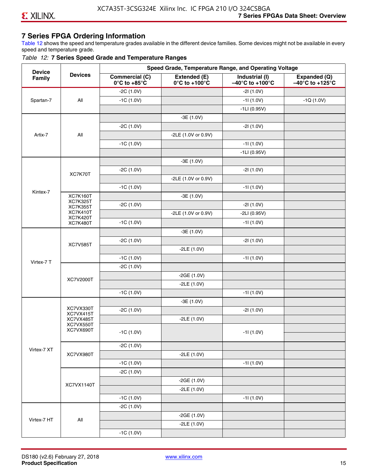## **7 Series FPGA Ordering Information**

Table 12 shows the speed and temperature grades available in the different device families. Some devices might not be available in every speed and temperature grade.

#### *Table 12:* **7 Series Speed Grade and Temperature Ranges**

| <b>Device</b> |                                    |                                                        | Speed Grade, Temperature Range, and Operating Voltage |                                                        |                                                      |
|---------------|------------------------------------|--------------------------------------------------------|-------------------------------------------------------|--------------------------------------------------------|------------------------------------------------------|
| Family        | <b>Devices</b>                     | <b>Commercial (C)</b><br>$0^\circ$ C to +85 $^\circ$ C | Extended (E)<br>$0^{\circ}$ C to +100 $^{\circ}$ C    | Industrial (I)<br>$-40^{\circ}$ C to +100 $^{\circ}$ C | Expanded (Q)<br>$-40^{\circ}$ C to +125 $^{\circ}$ C |
|               |                                    | $-2C(1.0V)$                                            |                                                       | $-21(1.0V)$                                            |                                                      |
| Spartan-7     | All                                | $-1C(1.0V)$                                            |                                                       | $-11(1.0V)$                                            | $-1Q(1.0V)$                                          |
|               |                                    |                                                        |                                                       | $-1LI(0.95V)$                                          |                                                      |
|               |                                    |                                                        | $-3E(1.0V)$                                           |                                                        |                                                      |
|               |                                    | $-2C(1.0V)$                                            |                                                       | $-21(1.0V)$                                            |                                                      |
| Artix-7       | All                                |                                                        | -2LE (1.0V or 0.9V)                                   |                                                        |                                                      |
|               |                                    | $-1C(1.0V)$                                            |                                                       | $-11(1.0V)$                                            |                                                      |
|               |                                    |                                                        |                                                       | $-1LI(0.95V)$                                          |                                                      |
|               |                                    |                                                        | $-3E(1.0V)$                                           |                                                        |                                                      |
|               | XC7K70T                            | $-2C(1.0V)$                                            |                                                       | $-21(1.0V)$                                            |                                                      |
|               |                                    |                                                        | -2LE (1.0V or 0.9V)                                   |                                                        |                                                      |
| Kintex-7      |                                    | $-1C(1.0V)$                                            |                                                       | $-11(1.0V)$                                            |                                                      |
|               | <b>XC7K160T</b>                    |                                                        | $-3E(1.0V)$                                           |                                                        |                                                      |
|               | <b>XC7K325T</b><br><b>XC7K355T</b> | $-2C(1.0V)$                                            |                                                       | $-21(1.0V)$                                            |                                                      |
|               | <b>XC7K410T</b><br><b>XC7K420T</b> |                                                        | -2LE (1.0V or 0.9V)                                   | $-2LI(0.95V)$                                          |                                                      |
|               | <b>XC7K480T</b>                    | $-1C(1.0V)$                                            |                                                       | $-11(1.0V)$                                            |                                                      |
|               |                                    |                                                        | $-3E(1.0V)$                                           |                                                        |                                                      |
|               |                                    | $-2C(1.0V)$                                            |                                                       | $-21(1.0V)$                                            |                                                      |
|               | <b>XC7V585T</b>                    |                                                        | $-2LE(1.0V)$                                          |                                                        |                                                      |
|               |                                    | $-1C(1.0V)$                                            |                                                       | $-11(1.0V)$                                            |                                                      |
| Virtex-7 T    |                                    | $-2C(1.0V)$                                            |                                                       |                                                        |                                                      |
|               |                                    |                                                        | $-2GE(1.0V)$                                          |                                                        |                                                      |
|               | XC7V2000T                          |                                                        | $-2LE(1.0V)$                                          |                                                        |                                                      |
|               |                                    | $-1C(1.0V)$                                            |                                                       | $-11(1.0V)$                                            |                                                      |
|               |                                    |                                                        | $-3E(1.0V)$                                           |                                                        |                                                      |
|               | XC7VX330T<br>XC7VX415T             | $-2C(1.0V)$                                            |                                                       | $-21(1.0V)$                                            |                                                      |
|               | XC7VX485T                          |                                                        | $-2LE(1.0V)$                                          |                                                        |                                                      |
|               | XC7VX550T<br>XC7VX690T             |                                                        |                                                       |                                                        |                                                      |
|               |                                    | $-1C(1.0V)$                                            |                                                       | $-11(1.0V)$                                            |                                                      |
|               |                                    | $-2C(1.0V)$                                            |                                                       |                                                        |                                                      |
| Virtex-7 XT   | XC7VX980T                          |                                                        | $-2LE(1.0V)$                                          |                                                        |                                                      |
|               |                                    | $-1C(1.0V)$                                            |                                                       | $-11(1.0V)$                                            |                                                      |
|               |                                    | $-2C(1.0V)$                                            |                                                       |                                                        |                                                      |
|               |                                    |                                                        | $-2GE(1.0V)$                                          |                                                        |                                                      |
|               | XC7VX1140T                         |                                                        | $-2LE(1.0V)$                                          |                                                        |                                                      |
|               |                                    | $-1C(1.0V)$                                            |                                                       | $-11(1.0V)$                                            |                                                      |
|               |                                    | $-2C(1.0V)$                                            |                                                       |                                                        |                                                      |
|               |                                    |                                                        | $-2GE(1.0V)$                                          |                                                        |                                                      |
| Virtex-7 HT   | $\mathsf{All}\xspace$              |                                                        | $-2LE(1.0V)$                                          |                                                        |                                                      |
|               |                                    | $-1C(1.0V)$                                            |                                                       |                                                        |                                                      |

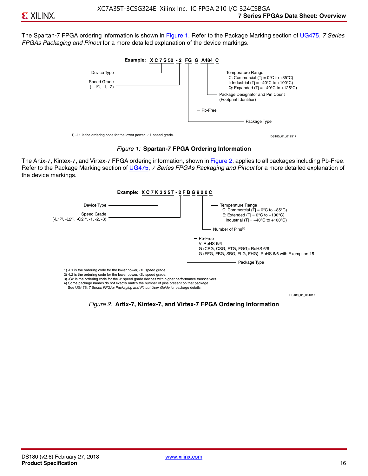The Spartan-7 FPGA ordering information is shown in Figure 1. Refer to the Package Marking section of [UG475,](http://www.xilinx.com/support/documentation/user_guides/ug475_7Series_Pkg_Pinout.pdf) *7 Series FPGAs Packaging and Pinout* for a more detailed explanation of the device markings.





The Artix-7, Kintex-7, and Virtex-7 FPGA ordering information, shown in Figure 2, applies to all packages including Pb-Free. Refer to the Package Marking section of [UG475](http://www.xilinx.com/support/documentation/user_guides/ug475_7Series_Pkg_Pinout.pdf), *7 Series FPGAs Packaging and Pinout* for a more detailed explanation of the device markings.



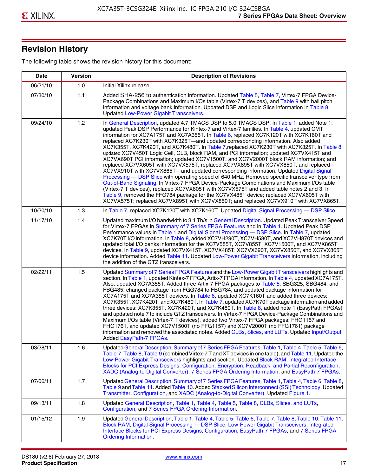# **Revision History**

The following table shows the revision history for this document:

| <b>Date</b> | <b>Version</b> | <b>Description of Revisions</b>                                                                                                                                                                                                                                                                                                                                                                                                                                                                                                                                                                                                                                                                                                                                                                                                                                                                                                                                                                                                                                                                                                                                                                                                                                                                                       |
|-------------|----------------|-----------------------------------------------------------------------------------------------------------------------------------------------------------------------------------------------------------------------------------------------------------------------------------------------------------------------------------------------------------------------------------------------------------------------------------------------------------------------------------------------------------------------------------------------------------------------------------------------------------------------------------------------------------------------------------------------------------------------------------------------------------------------------------------------------------------------------------------------------------------------------------------------------------------------------------------------------------------------------------------------------------------------------------------------------------------------------------------------------------------------------------------------------------------------------------------------------------------------------------------------------------------------------------------------------------------------|
| 06/21/10    | 1.0            | Initial Xilinx release.                                                                                                                                                                                                                                                                                                                                                                                                                                                                                                                                                                                                                                                                                                                                                                                                                                                                                                                                                                                                                                                                                                                                                                                                                                                                                               |
| 07/30/10    | 1.1            | Added SHA-256 to authentication information. Updated Table 5, Table 7, Virtex-7 FPGA Device-<br>Package Combinations and Maximum I/Os table (Virtex-7 T devices), and Table 9 with ball pitch<br>information and voltage bank information. Updated DSP and Logic Slice information in Table 8.<br><b>Updated Low-Power Gigabit Transceivers.</b>                                                                                                                                                                                                                                                                                                                                                                                                                                                                                                                                                                                                                                                                                                                                                                                                                                                                                                                                                                      |
| 09/24/10    | 1.2            | In General Description, updated 4.7 TMACS DSP to 5.0 TMACS DSP. In Table 1, added Note 1;<br>updated Peak DSP Performance for Kintex-7 and Virtex-7 families. In Table 4, updated CMT<br>information for XC7A175T and XC7A355T. In Table 6, replaced XC7K120T with XC7K160T and<br>replaced XC7K230T with XC7K325T-and updated corresponding information. Also added<br>XC7K355T, XC7K420T, and XC7K480T. In Table 7, replaced XC7K230T with XC7K325T. In Table 8,<br>updated XC7V450T Logic Cell, CLB, block RAM, and PCI information; updated XC7VX415T and<br>XC7VX690T PCI information; updated XC7V1500T, and XC7V2000T block RAM information; and<br>replaced XC7VX605T with XC7VX575T, replaced XC7VX895T with XC7VX850T, and replaced<br>XC7VX910T with XC7VX865T-and updated corresponding information. Updated Digital Signal<br>Processing - DSP Slice with operating speed of 640 MHz. Removed specific transceiver type from<br>Out-of-Band Signaling. In Virtex-7 FPGA Device-Package Combinations and Maximum I/Os table<br>(Virtex-7 T devices), replaced XC7VX605T with XC7VX575T and added table notes 2 and 3. In<br>Table 9, removed the FFG784 package for the XC7VX485T device; replaced XC7VX605T with<br>XC7VX575T; replaced XC7VX895T with XC7VX850T; and replaced XC7VX910T with XC7VX865T. |
| 10/20/10    | 1.3            | In Table 7, replaced XC7K120T with XC7K160T. Updated Digital Signal Processing - DSP Slice.                                                                                                                                                                                                                                                                                                                                                                                                                                                                                                                                                                                                                                                                                                                                                                                                                                                                                                                                                                                                                                                                                                                                                                                                                           |
| 11/17/10    | 1.4            | Updated maximum I/O bandwidth to 3.1 Tb/s in General Description. Updated Peak Transceiver Speed<br>for Virtex-7 FPGAs in Summary of 7 Series FPGA Features and in Table 1. Updated Peak DSP<br>Performance values in Table 1 and Digital Signal Processing - DSP Slice. In Table 7, updated<br>XC7K70T I/O information. In Table 8, added XC7VH290T, XC7VH580T, and XC7VH870T devices and<br>updated total I/O banks information for the XC7V585T, XC7V855T, XC7V1500T, and XC7VX865T<br>devices. In Table 9, updated XC7VX415T, XC7VX485T, XC7VX690T, XC7VX850T, and XC7VX865T<br>device information. Added Table 11. Updated Low-Power Gigabit Transceivers information, including<br>the addition of the GTZ transceivers.                                                                                                                                                                                                                                                                                                                                                                                                                                                                                                                                                                                        |
| 02/22/11    | 1.5            | Updated Summary of 7 Series FPGA Features and the Low-Power Gigabit Transceivers highlights and<br>section. In Table 1, updated Kintex-7 FPGA, Artix-7 FPGA information. In Table 4, updated XC7A175T.<br>Also, updated XC7A355T. Added three Artix-7 FPGA packages to Table 5: SBG325, SBG484, and<br>FBG485, changed package from FGG784 to FBG784, and updated package information for<br>XC7A175T and XC7A355T devices. In Table 6, updated XC7K160T and added three devices:<br>XC7K355T, XC7K420T, and XC7K480T. In Table 7, updated XC7K70T package information and added<br>three devices: XC7K355T, XC7K420T, and XC7K480T. In Table 8, added note 1 (EasyPath FPGAs)<br>and updated note 7 to include GTZ transceivers. In Virtex-7 FPGA Device-Package Combinations and<br>Maximum I/Os table (Virtex-7 T devices), added two Virtex-7 FPGA packages: FHG1157 and<br>FHG1761, and updated XC7V1500T (no FFG1157) and XC7V2000T (no FFG1761) package<br>information and removed the associated notes. Added CLBs, Slices, and LUTs. Updated Input/Output.<br>Added EasyPath-7 FPGAs.                                                                                                                                                                                                                        |
| 03/28/11    | 1.6            | Updated General Description, Summary of 7 Series FPGA Features, Table 1, Table 4, Table 5, Table 6,<br>Table 7, Table 8, Table 9 (combined Virtex-7 T and XT devices in one table), and Table 11. Updated the<br>Low-Power Gigabit Transceivers highlights and section. Updated Block RAM, Integrated Interface<br>Blocks for PCI Express Designs, Configuration, Encryption, Readback, and Partial Reconfiguration,<br>XADC (Analog-to-Digital Converter), 7 Series FPGA Ordering Information, and EasyPath-7 FPGAs.                                                                                                                                                                                                                                                                                                                                                                                                                                                                                                                                                                                                                                                                                                                                                                                                 |
| 07/06/11    | 1.7            | Updated General Description, Summary of 7 Series FPGA Features, Table 1, Table 4, Table 6, Table 8,<br>Table 9 and Table 11. Added Table 10. Added Stacked Silicon Interconnect (SSI) Technology. Updated<br>Transmitter, Configuration, and XADC (Analog-to-Digital Converter). Updated Figure 1.                                                                                                                                                                                                                                                                                                                                                                                                                                                                                                                                                                                                                                                                                                                                                                                                                                                                                                                                                                                                                    |
| 09/13/11    | 1.8            | Updated General Description, Table 1, Table 4, Table 5, Table 8, CLBs, Slices, and LUTs,<br>Configuration, and 7 Series FPGA Ordering Information.                                                                                                                                                                                                                                                                                                                                                                                                                                                                                                                                                                                                                                                                                                                                                                                                                                                                                                                                                                                                                                                                                                                                                                    |
| 01/15/12    | 1.9            | Updated General Description, Table 1, Table 4, Table 5, Table 6, Table 7, Table 8, Table 10, Table 11,<br>Block RAM, Digital Signal Processing - DSP Slice, Low-Power Gigabit Transceivers, Integrated<br>Interface Blocks for PCI Express Designs, Configuration, EasyPath-7 FPGAs, and 7 Series FPGA<br><b>Ordering Information.</b>                                                                                                                                                                                                                                                                                                                                                                                                                                                                                                                                                                                                                                                                                                                                                                                                                                                                                                                                                                                |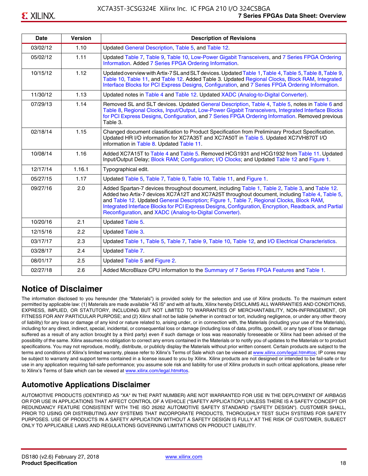| <b>Date</b> | <b>Version</b> | <b>Description of Revisions</b>                                                                                                                                                                                                                                                                                                                                                                                                                                     |
|-------------|----------------|---------------------------------------------------------------------------------------------------------------------------------------------------------------------------------------------------------------------------------------------------------------------------------------------------------------------------------------------------------------------------------------------------------------------------------------------------------------------|
| 03/02/12    | 1.10           | Updated General Description, Table 5, and Table 12.                                                                                                                                                                                                                                                                                                                                                                                                                 |
| 05/02/12    | 1.11           | Updated Table 7, Table 9, Table 10, Low-Power Gigabit Transceivers, and 7 Series FPGA Ordering<br>Information. Added 7 Series FPGA Ordering Information.                                                                                                                                                                                                                                                                                                            |
| 10/15/12    | 1.12           | Updated overview with Artix-7 SL and SLT devices. Updated Table 1, Table 4, Table 5, Table 8, Table 9,<br>Table 10, Table 11, and Table 12. Added Table 3. Updated Regional Clocks, Block RAM, Integrated<br>Interface Blocks for PCI Express Designs, Configuration, and 7 Series FPGA Ordering Information.                                                                                                                                                       |
| 11/30/12    | 1.13           | Updated notes in Table 4 and Table 12. Updated XADC (Analog-to-Digital Converter).                                                                                                                                                                                                                                                                                                                                                                                  |
| 07/29/13    | 1.14           | Removed SL and SLT devices. Updated General Description, Table 4, Table 5, notes in Table 6 and<br>Table 8, Regional Clocks, Input/Output, Low-Power Gigabit Transceivers, Integrated Interface Blocks<br>for PCI Express Designs, Configuration, and 7 Series FPGA Ordering Information. Removed previous<br>Table 3.                                                                                                                                              |
| 02/18/14    | 1.15           | Changed document classification to Product Specification from Preliminary Product Specification.<br>Updated HR I/O information for XC7A35T and XC7A50T in Table 5. Updated XC7VH870T I/O<br>information in Table 8. Updated Table 11.                                                                                                                                                                                                                               |
| 10/08/14    | 1.16           | Added XC7A15T to Table 4 and Table 5. Removed HCG1931 and HCG1932 from Table 11. Updated<br>Input/Output Delay; Block RAM; Configuration; I/O Clocks; and Updated Table 12 and Figure 1.                                                                                                                                                                                                                                                                            |
| 12/17/14    | 1.16.1         | Typographical edit.                                                                                                                                                                                                                                                                                                                                                                                                                                                 |
| 05/27/15    | 1.17           | Updated Table 5, Table 7, Table 9, Table 10, Table 11, and Figure 1.                                                                                                                                                                                                                                                                                                                                                                                                |
| 09/27/16    | 2.0            | Added Spartan-7 devices throughout document, including Table 1, Table 2, Table 3, and Table 12.<br>Added two Artix-7 devices XC7A12T and XC7A25T throughout document, including Table 4, Table 5,<br>and Table 12. Updated General Description; Figure 1, Table 7, Regional Clocks, Block RAM,<br>Integrated Interface Blocks for PCI Express Designs, Configuration, Encryption, Readback, and Partial<br>Reconfiguration, and XADC (Analog-to-Digital Converter). |
| 10/20/16    | 2.1            | Updated Table 5.                                                                                                                                                                                                                                                                                                                                                                                                                                                    |
| 12/15/16    | 2.2            | Updated Table 3.                                                                                                                                                                                                                                                                                                                                                                                                                                                    |
| 03/17/17    | 2.3            | Updated Table 1, Table 5, Table 7, Table 9, Table 10, Table 12, and I/O Electrical Characteristics.                                                                                                                                                                                                                                                                                                                                                                 |
| 03/28/17    | 2.4            | Updated Table 7.                                                                                                                                                                                                                                                                                                                                                                                                                                                    |
| 08/01/17    | 2.5            | Updated Table 5 and Figure 2.                                                                                                                                                                                                                                                                                                                                                                                                                                       |
| 02/27/18    | 2.6            | Added MicroBlaze CPU information to the Summary of 7 Series FPGA Features and Table 1.                                                                                                                                                                                                                                                                                                                                                                              |

# **Notice of Disclaimer**

The information disclosed to you hereunder (the "Materials") is provided solely for the selection and use of Xilinx products. To the maximum extent permitted by applicable law: (1) Materials are made available "AS IS" and with all faults, Xilinx hereby DISCLAIMS ALL WARRANTIES AND CONDITIONS, EXPRESS, IMPLIED, OR STATUTORY, INCLUDING BUT NOT LIMITED TO WARRANTIES OF MERCHANTABILITY, NON-INFRINGEMENT, OR FITNESS FOR ANY PARTICULAR PURPOSE; and (2) Xilinx shall not be liable (whether in contract or tort, including negligence, or under any other theory of liability) for any loss or damage of any kind or nature related to, arising under, or in connection with, the Materials (including your use of the Materials), including for any direct, indirect, special, incidental, or consequential loss or damage (including loss of data, profits, goodwill, or any type of loss or damage suffered as a result of any action brought by a third party) even if such damage or loss was reasonably foreseeable or Xilinx had been advised of the possibility of the same. Xilinx assumes no obligation to correct any errors contained in the Materials or to notify you of updates to the Materials or to product specifications. You may not reproduce, modify, distribute, or publicly display the Materials without prior written consent. Certain products are subject to the terms and conditions of Xilinx's limited warranty, please refer to Xilinx's Terms of Sale which can be viewed at [www.xilinx.com/legal.htm#tos;](www.xilinx.com/legal.htm#tos) IP cores may be subject to warranty and support terms contained in a license issued to you by Xilinx. Xilinx products are not designed or intended to be fail-safe or for use in any application requiring fail-safe performance; you assume sole risk and liability for use of Xilinx products in such critical applications, please refer to Xilinx's Terms of Sale which can be viewed at <www.xilinx.com/legal.htm#tos>.

# **Automotive Applications Disclaimer**

AUTOMOTIVE PRODUCTS (IDENTIFIED AS "XA" IN THE PART NUMBER) ARE NOT WARRANTED FOR USE IN THE DEPLOYMENT OF AIRBAGS OR FOR USE IN APPLICATIONS THAT AFFECT CONTROL OF A VEHICLE ("SAFETY APPLICATION") UNLESS THERE IS A SAFETY CONCEPT OR REDUNDANCY FEATURE CONSISTENT WITH THE ISO 26262 AUTOMOTIVE SAFETY STANDARD ("SAFETY DESIGN"). CUSTOMER SHALL, PRIOR TO USING OR DISTRIBUTING ANY SYSTEMS THAT INCORPORATE PRODUCTS, THOROUGHLY TEST SUCH SYSTEMS FOR SAFETY PURPOSES. USE OF PRODUCTS IN A SAFETY APPLICATION WITHOUT A SAFETY DESIGN IS FULLY AT THE RISK OF CUSTOMER, SUBJECT ONLY TO APPLICABLE LAWS AND REGULATIONS GOVERNING LIMITATIONS ON PRODUCT LIABILITY.